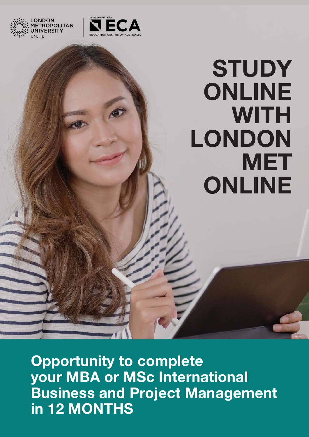

ONDON

**FROPOLITAN** 

# **STUDY** ONLINE **WITH** LONDON **MET** ONLINE

Opportunity to complete your MBA or MSc International Business and Project Management in 12 MONTHS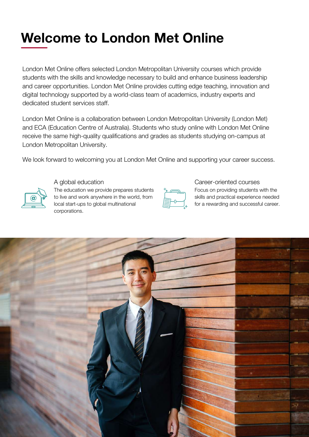## Welcome to London Met Online

London Met Online offers selected London Metropolitan University courses which provide students with the skills and knowledge necessary to build and enhance business leadership and career opportunities. London Met Online provides cutting edge teaching, innovation and digital technology supported by a world-class team of academics, industry experts and dedicated student services staff.

London Met Online is a collaboration between London Metropolitan University (London Met) and ECA (Education Centre of Australia). Students who study online with London Met Online receive the same high-quality qualifications and grades as students studying on-campus at London Metropolitan University.

We look forward to welcoming you at London Met Online and supporting your career success.



A global education The education we provide prepares students to live and work anywhere in the world, from local start-ups to global multinational corporations.



Career-oriented courses Focus on providing students with the skills and practical experience needed for a rewarding and successful career.

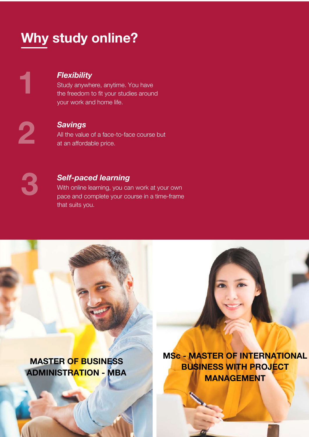## Why study online?

1

### **Flexibility**

Study anywhere, anytime. You have the freedom to fit your studies around your work and home life.

2

#### **Savings**

All the value of a face-to-face course but at an affordable price.

3

#### Self-paced learning

With online learning, you can work at your own pace and complete your course in a time-frame that suits you.

MASTER OF BUSINESS ADMINISTRATION - MBA MSc - MASTER OF INTERNATIONAL BUSINESS WITH PROJECT MANAGEMENT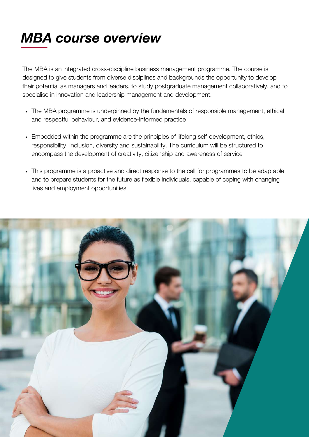## MBA course overview

The MBA is an integrated cross-discipline business management programme. The course is designed to give students from diverse disciplines and backgrounds the opportunity to develop their potential as managers and leaders, to study postgraduate management collaboratively, and to specialise in innovation and leadership management and development.

- The MBA programme is underpinned by the fundamentals of responsible management, ethical and respectful behaviour, and evidence-informed practice
- Embedded within the programme are the principles of lifelong self-development, ethics, responsibility, inclusion, diversity and sustainability. The curriculum will be structured to encompass the development of creativity, citizenship and awareness of service
- This programme is a proactive and direct response to the call for programmes to be adaptable and to prepare students for the future as flexible individuals, capable of coping with changing lives and employment opportunities

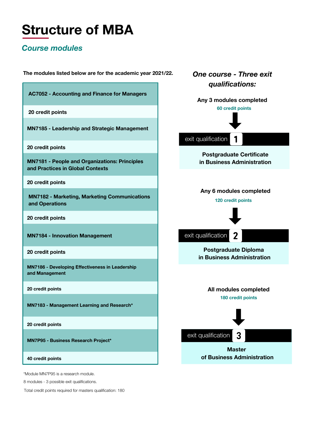## Structure of MBA

#### Course modules

The modules listed below are for the academic year 2021/22.

|                                                                                          | qualifications:                                               |
|------------------------------------------------------------------------------------------|---------------------------------------------------------------|
| <b>AC7052 - Accounting and Finance for Managers</b>                                      | Any 3 modules completed                                       |
| 20 credit points                                                                         | 60 credit points                                              |
| <b>MN7185 - Leadership and Strategic Management</b>                                      | exit qualification                                            |
| 20 credit points                                                                         |                                                               |
| <b>MN7181 - People and Organizations: Principles</b><br>and Practices in Global Contexts | <b>Postgraduate Certificate</b><br>in Business Administration |
| 20 credit points                                                                         |                                                               |
| <b>MN7182 - Marketing, Marketing Communications</b><br>and Operations                    | Any 6 modules completed<br>120 credit points                  |
| 20 credit points                                                                         |                                                               |
| <b>MN7184 - Innovation Management</b>                                                    | exit qualification<br>2                                       |
| 20 credit points                                                                         | <b>Postgraduate Diploma</b><br>in Business Administration     |
| MN7186 - Developing Effectiveness in Leadership<br>and Management                        |                                                               |
| 20 credit points                                                                         | All modules completed                                         |
| MN7183 - Management Learning and Research*                                               | 180 credit points                                             |
| 20 credit points                                                                         |                                                               |
| <b>MN7P95 - Business Research Project*</b>                                               | 3<br>exit qualification                                       |
| 40 credit points                                                                         | <b>Master</b><br>of Business Administration                   |
| *Module MN7P95 is a research module.<br>8 modules - 3 possible exit qualifications.      |                                                               |

One course - Three exit

Total credit points required for masters qualification: 180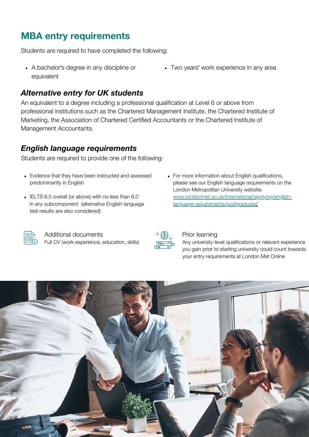### MBA entry requirements

Students are required to have completed the following:

A bachelor's degree in any discipline or equivalent

#### Alternative entry for UK students

An equivalent to a degree including a professional qualification at Level 6 or above from professional institutions such as the Chartered Management Institute, the Chartered Institute of Marketing, the Association of Chartered Certified Accountants or the Chartered Institute of Management Accountants.

#### English language requirements

Students are required to provide one of the following:

- Evidence that they have been instructed and assessed predominantly in English
- IELTS 6.5 overall (or above) with no less than 6.0 in any subcomponent (alternative English language test results are also considered)
- For more information about English qualifications, please see our English language requirements on the London Metropolitan University website: [www.londonmet.ac.uk/international/applying/english](https://www.londonmet.ac.uk/international/applying/english-language-requirements/postgraduate/)language-requirements/postgraduat[e/](https://www.londonmet.ac.uk/international/applying/english-language-requirements/postgraduate/)



Additional documents Full CV (work experience, education, skills)



#### Prior learning

Any university-level qualifications or relevant experience you gain prior to starting university could count towards your entry requirements at London Met Online



Two years' work experience in any area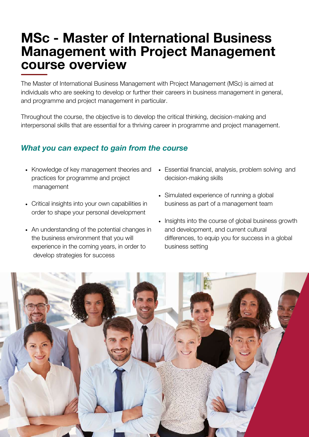### MSc - Master of International Business Management with Project Management course overview

The Master of International Business Management with Project Management (MSc) is aimed at individuals who are seeking to develop or further their careers in business management in general, and programme and project management in particular.

Throughout the course, the objective is to develop the critical thinking, decision-making and interpersonal skills that are essential for a thriving career in programme and project management.

### What you can expect to gain from the course

- Knowledge of key management theories and practices for programme and project management
- Critical insights into your own capabilities in order to shape your personal development
- An understanding of the potential changes in the business environment that you will experience in the coming years, in order to develop strategies for success
- Essential financial, analysis, problem solving and decision-making skills
- Simulated experience of running a global business as part of a management team
- Insights into the course of global business growth and development, and current cultural differences, to equip you for success in a global business setting

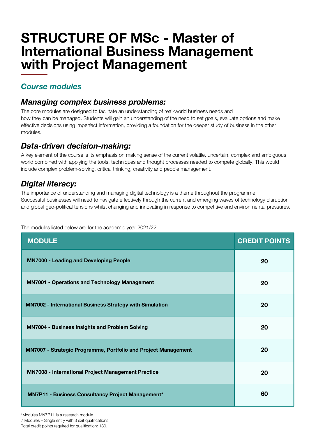### STRUCTURE OF MSc - Master of International Business Management with Project Management

#### Course modules

#### Managing complex business problems:

The core modules are designed to facilitate an understanding of real-world business needs and how they can be managed. Students will gain an understanding of the need to set goals, evaluate options and make effective decisions using imperfect information, providing a foundation for the deeper study of business in the other modules.

#### Data-driven decision-making:

A key element of the course is its emphasis on making sense of the current volatile, uncertain, complex and ambiguous world combined with applying the tools, techniques and thought processes needed to compete globally. This would include complex problem-solving, critical thinking, creativity and people management.

### Digital literacy:

The importance of understanding and managing digital technology is a theme throughout the programme. Successful businesses will need to navigate effectively through the current and emerging waves of technology disruption and global geo-political tensions whilst changing and innovating in response to competitive and environmental pressures.

The modules listed below are for the academic year 2021/22.

| <b>MODULE</b>                                                   | <b>CREDIT POINTS</b> |
|-----------------------------------------------------------------|----------------------|
| <b>MN7000 - Leading and Developing People</b>                   | 20                   |
| <b>MN7001 - Operations and Technology Management</b>            | 20                   |
| <b>MN7002 - International Business Strategy with Simulation</b> | 20                   |
| <b>MN7004 - Business Insights and Problem Solving</b>           | 20                   |
| MN7007 - Strategic Programme, Portfolio and Project Management  | 20                   |
| <b>MN7008 - International Project Management Practice</b>       | 20                   |
| MN7P11 - Business Consultancy Project Management*               | 60                   |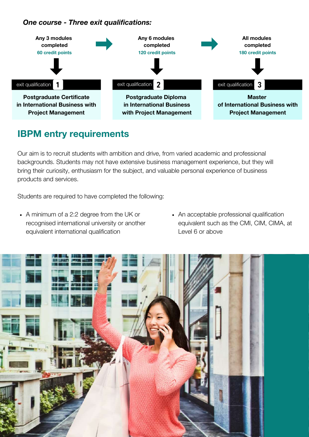#### One course - Three exit qualifications:



### IBPM entry requirements

Our aim is to recruit students with ambition and drive, from varied academic and professional backgrounds. Students may not have extensive business management experience, but they will bring their curiosity, enthusiasm for the subject, and valuable personal experience of business products and services.

Students are required to have completed the following:

- A minimum of a 2:2 degree from the UK or recognised international university or another equivalent international qualification
- An acceptable professional qualification equivalent such as the CMI, CIM, CIMA, at Level 6 or above

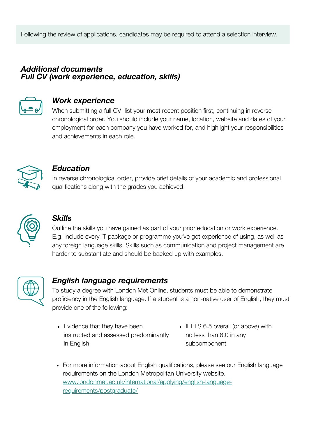Following the review of applications, candidates may be required to attend a selection interview.

#### Additional documents Full CV (work experience, education, skills)



#### Work experience

When submitting a full CV, list your most recent position first, continuing in reverse chronological order. You should include your name, location, website and dates of your employment for each company you have worked for, and highlight your responsibilities and achievements in each role.



#### **Education**

In reverse chronological order, provide brief details of your academic and professional qualifications along with the grades you achieved.



#### **Skills**

Outline the skills you have gained as part of your prior education or work experience. E.g. include every IT package or programme you've got experience of using, as well as any foreign language skills. Skills such as communication and project management are harder to substantiate and should be backed up with examples.



#### English language requirements

To study a degree with London Met Online, students must be able to demonstrate proficiency in the English language. If a student is a non-native user of English, they must provide one of the following:

- Evidence that they have been instructed and assessed predominantly in English
- IELTS 6.5 overall (or above) with no less than 6.0 in any subcomponent
- For more information about English qualifications, please see our English language requirements on the London Metropolitan University website. [www.londonmet.ac.uk/international/applying/english-language](https://www.londonmet.ac.uk/international/applying/english-language-requirements/postgraduate/)requirements/postgraduate/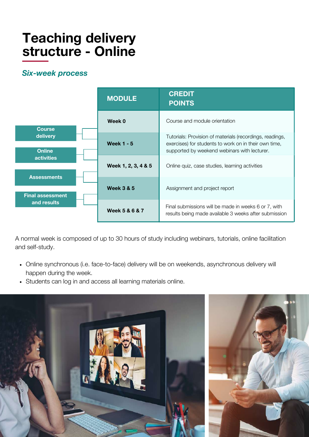## Teaching delivery structure - Online

#### Six-week process



A normal week is composed of up to 30 hours of study including webinars, tutorials, online facilitation and self-study.

- Online synchronous (i.e. face-to-face) delivery will be on weekends, asynchronous delivery will happen during the week.
- Students can log in and access all learning materials online.

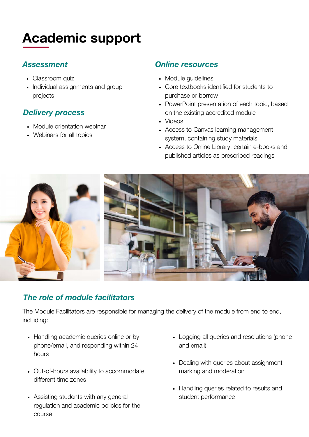## Academic support

#### Assessment

- Classroom quiz
- Individual assignments and group projects

### Delivery process

- Module orientation webinar
- Webinars for all topics

#### Online resources

- Module quidelines
- Core textbooks identified for students to purchase or borrow
- PowerPoint presentation of each topic, based on the existing accredited module
- Videos
- Access to Canvas learning management system, containing study materials
- Access to Online Library, certain e-books and published articles as prescribed readings



### The role of module facilitators

The Module Facilitators are responsible for managing the delivery of the module from end to end, including:

- Handling academic queries online or by phone/email, and responding within 24 hours
- Out-of-hours availability to accommodate different time zones
- Assisting students with any general regulation and academic policies for the course
- Logging all queries and resolutions (phone and email)
- Dealing with queries about assignment marking and moderation
- Handling queries related to results and student performance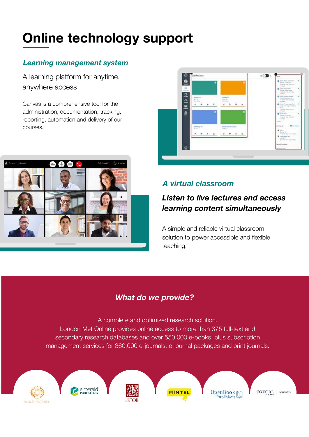## Online technology support

#### Learning management system

A learning platform for anytime, anywhere access

Canvas is a comprehensive tool for the administration, documentation, tracking, reporting, automation and delivery of our courses.





#### A virtual classroom

### Listen to live lectures and access learning content simultaneously

A simple and reliable virtual classroom solution to power accessible and flexible teaching.

### What do we provide?

A complete and optimised research solution. London Met Online provides online access to more than 375 full-text and secondary research databases and over 550,000 e-books, plus subscription management services for 360,000 e-journals, e-journal packages and print journals.

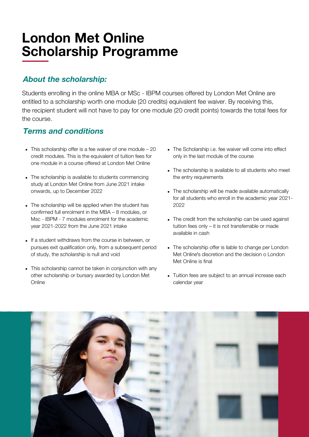## London Met Online Scholarship Programme

### About the scholarship:

Students enrolling in the online MBA or MSc - IBPM courses offered by London Met Online are entitled to a scholarship worth one module (20 credits) equivalent fee waiver. By receiving this, the recipient student will not have to pay for one module (20 credit points) towards the total fees for the course.

#### Terms and conditions

- This scholarship offer is a fee waiver of one module 20 credit modules. This is the equivalent of tuition fees for one module in a course offered at London Met Online
- The scholarship is available to students commencing study at London Met Online from June 2021 intake onwards, up to December 2022
- The scholarship will be applied when the student has confirmed full enrolment in the MBA – 8 modules, or Msc - IBPM - 7 modules enrolment for the academic year 2021-2022 from the June 2021 intake
- If a student withdraws from the course in between, or pursues exit qualification only, from a subsequent period of study, the scholarship is null and void
- This scholarship cannot be taken in conjunction with any other scholarship or bursary awarded by London Met **Online**
- The Scholarship i.e. fee waiver will come into effect only in the last module of the course
- The scholarship is available to all students who meet the entry requirements
- The scholarship will be made available automatically for all students who enroll in the academic year 2021- 2022
- The credit from the scholarship can be used against tuition fees only – it is not transferrable or made available in cash
- The scholarship offer is liable to change per London Met Online's discretion and the decision o London Met Online is final
- Tuition fees are subject to an annual increase each calendar year

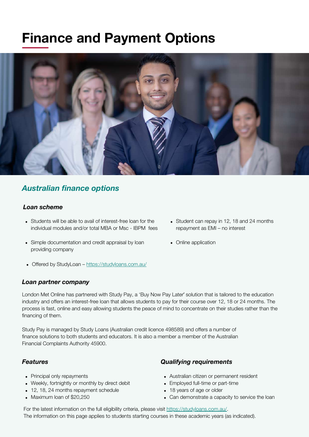## Finance and Payment Options



#### Australian finance options

#### Loan scheme

- Students will be able to avail of interest-free loan for the individual modules and/or total MBA or Msc - IBPM fees
- Simple documentation and credit appraisal by loan providing company
- Offered by StudyLoan <https://studyloans.com.au/>

#### Loan partner company

- Student can repay in 12, 18 and 24 months repayment as EMI – no interest
- Online application

London Met Online has partnered with Study Pay, a 'Buy Now Pay Later' solution that is tailored to the education industry and offers an interest-free loan that allows students to pay for their course over 12, 18 or 24 months. The process is fast, online and easy allowing students the peace of mind to concentrate on their studies rather than the financing of them.

Study Pay is managed by Study Loans (Australian credit licence 498589) and offers a number of finance solutions to both students and educators. It is also a member a member of the Australian Financial Complaints Authority 45900.

#### Features

- Principal only repayments
- Weekly, fortnightly or monthly by direct debit
- 12, 18, 24 months repayment schedule
- Maximum loan of \$20,250

#### Qualifying requirements

- Australian citizen or permanent resident
- Employed full-time or part-time
- 18 years of age or older
- Can demonstrate a capacity to service the loan

For the latest information on the full eligibility criteria, please visit <https://studyloans.com.au/>. The information on this page applies to students starting courses in these academic years (as indicated).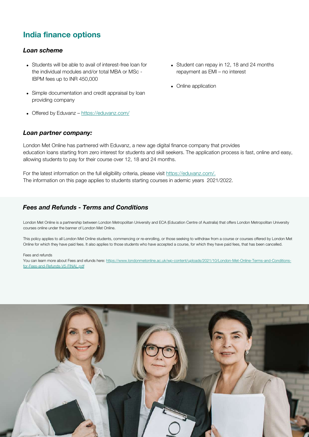#### India finance options

#### Loan scheme

- Students will be able to avail of interest-free loan for the individual modules and/or total MBA or MSc - IBPM fees up to INR 450,000
- Simple documentation and credit appraisal by loan providing company
- Offered by Eduvanz <https://eduvanz.com/>

### repayment as EMI – no interest

• Student can repay in 12, 18 and 24 months

• Online application

#### Loan partner company:

London Met Online has partnered with Eduvanz, a new age digital finance company that provides education loans starting from zero interest for students and skill seekers. The application process is fast, online and easy, allowing students to pay for their course over 12, 18 and 24 months.

For the latest information on the full eligibility criteria, please visit [https://eduvanz.com/.](https://eduvanz.com/) The information on this page applies to students starting courses in ademic years 2021/2022.

#### Fees and Refunds - Terms and Conditions

London Met Online is a partnership between London Metropolitan University and ECA (Education Centre of Australia) that offers London Metropolitan University courses online under the banner of London Met Online.

This policy applies to all London Met Online students, commencing or re-enrolling, or those seeking to withdraw from a course or courses offered by London Met Online for which they have paid fees. It also applies to those students who have accepted a course, for which they have paid fees, that has been cancelled.

#### Fees and refunds

You can learn more about Fees and efunds here: [https://www.londonmetonline.ac.uk/wp-content/uploads/2021/10/London-Met-Online-Terms-and-Conditions](https://www.londonmetonline.ac.uk/wp-content/uploads/2021/10/London-Met-Online-Terms-and-Conditions-for-Fees-and-Refunds-V5-FINAL.pdf)for-Fees-and-Refunds-V5-FINAL.pdf